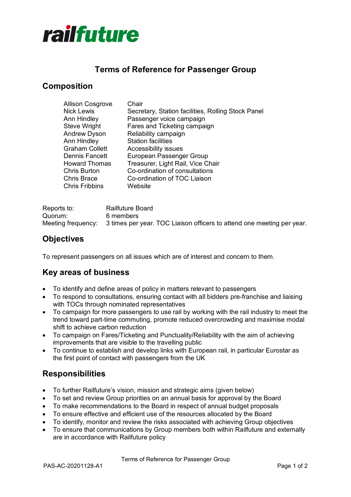

# **Terms of Reference for Passenger Group**

# **Composition**

| Allison Cosgrove      | Chair                                              |
|-----------------------|----------------------------------------------------|
| <b>Nick Lewis</b>     | Secretary, Station facilities, Rolling Stock Panel |
| Ann Hindley           | Passenger voice campaign                           |
| Steve Wright          | Fares and Ticketing campaign                       |
| Andrew Dyson          | Reliability campaign                               |
| Ann Hindley           | <b>Station facilities</b>                          |
| <b>Graham Collett</b> | Accessibility issues                               |
| Dennis Fancett        | European Passenger Group                           |
| <b>Howard Thomas</b>  | Treasurer, Light Rail, Vice Chair                  |
| Chris Burton          | Co-ordination of consultations                     |
| Chris Brace           | Co-ordination of TOC Liaison                       |
| <b>Chris Fribbins</b> | Website                                            |
|                       |                                                    |

| Reports to: | Railfuture Board                                                                          |
|-------------|-------------------------------------------------------------------------------------------|
| Quorum:     | 6 members                                                                                 |
|             | Meeting frequency: 3 times per year. TOC Liaison officers to attend one meeting per year. |

## **Objectives**

To represent passengers on all issues which are of interest and concern to them.

# **Key areas of business**

- To identify and define areas of policy in matters relevant to passengers
- To respond to consultations, ensuring contact with all bidders pre-franchise and liaising with TOCs through nominated representatives
- To campaign for more passengers to use rail by working with the rail industry to meet the trend toward part-time commuting, promote reduced overcrowding and maximise modal shift to achieve carbon reduction
- To campaign on Fares/Ticketing and Punctuality/Reliability with the aim of achieving improvements that are visible to the travelling public
- To continue to establish and develop links with European rail, in particular Eurostar as the first point of contact with passengers from the UK

## **Responsibilities**

- To further Railfuture's vision, mission and strategic aims (given below)
- To set and review Group priorities on an annual basis for approval by the Board
- To make recommendations to the Board in respect of annual budget proposals
- To ensure effective and efficient use of the resources allocated by the Board
- To identify, monitor and review the risks associated with achieving Group objectives
- To ensure that communications by Group members both within Railfuture and externally are in accordance with Railfuture policy